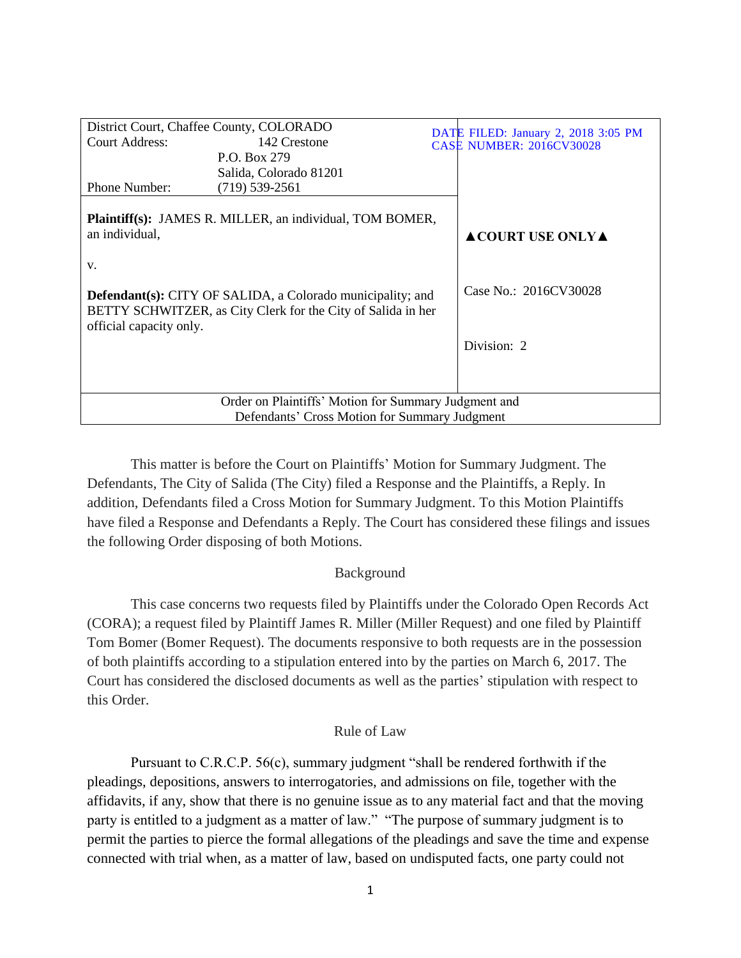| District Court, Chaffee County, COLORADO                                                                                                                     |                                                                 |                       | DATE FILED: January 2, 2018 3:05 PM    |
|--------------------------------------------------------------------------------------------------------------------------------------------------------------|-----------------------------------------------------------------|-----------------------|----------------------------------------|
| Court Address:                                                                                                                                               | 142 Crestone                                                    |                       | <b>CASE NUMBER: 2016CV30028</b>        |
|                                                                                                                                                              | P.O. Box 279                                                    |                       |                                        |
|                                                                                                                                                              | Salida, Colorado 81201                                          |                       |                                        |
| Phone Number:                                                                                                                                                | $(719)$ 539-2561                                                |                       |                                        |
| an individual,<br>V.                                                                                                                                         | <b>Plaintiff(s):</b> JAMES R. MILLER, an individual, TOM BOMER, |                       | $\triangle$ COURT USE ONLY $\triangle$ |
| <b>Defendant(s):</b> CITY OF SALIDA, a Colorado municipality; and<br>BETTY SCHWITZER, as City Clerk for the City of Salida in her<br>official capacity only. |                                                                 | Case No.: 2016CV30028 |                                        |
|                                                                                                                                                              |                                                                 |                       | Division: 2                            |
|                                                                                                                                                              |                                                                 |                       |                                        |
| Order on Plaintiffs' Motion for Summary Judgment and                                                                                                         |                                                                 |                       |                                        |
| Defendants' Cross Motion for Summary Judgment                                                                                                                |                                                                 |                       |                                        |

This matter is before the Court on Plaintiffs' Motion for Summary Judgment. The Defendants, The City of Salida (The City) filed a Response and the Plaintiffs, a Reply. In addition, Defendants filed a Cross Motion for Summary Judgment. To this Motion Plaintiffs have filed a Response and Defendants a Reply. The Court has considered these filings and issues the following Order disposing of both Motions.

## Background

This case concerns two requests filed by Plaintiffs under the Colorado Open Records Act (CORA); a request filed by Plaintiff James R. Miller (Miller Request) and one filed by Plaintiff Tom Bomer (Bomer Request). The documents responsive to both requests are in the possession of both plaintiffs according to a stipulation entered into by the parties on March 6, 2017. The Court has considered the disclosed documents as well as the parties' stipulation with respect to this Order.

## Rule of Law

Pursuant to C.R.C.P. 56(c), summary judgment "shall be rendered forthwith if the pleadings, depositions, answers to interrogatories, and admissions on file, together with the affidavits, if any, show that there is no genuine issue as to any material fact and that the moving party is entitled to a judgment as a matter of law." "The purpose of summary judgment is to permit the parties to pierce the formal allegations of the pleadings and save the time and expense connected with trial when, as a matter of law, based on undisputed facts, one party could not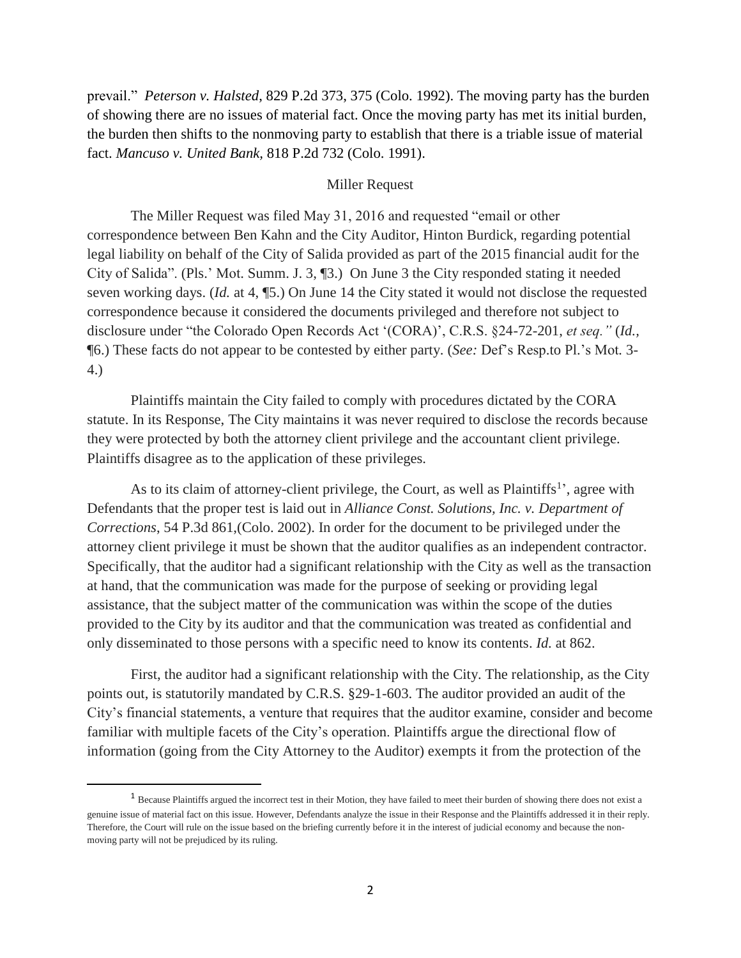prevail." *Peterson v. Halsted*, 829 P.2d 373, 375 (Colo. 1992). The moving party has the burden of showing there are no issues of material fact. Once the moving party has met its initial burden, the burden then shifts to the nonmoving party to establish that there is a triable issue of material fact. *Mancuso v. United Bank,* 818 P.2d 732 (Colo. 1991).

## Miller Request

The Miller Request was filed May 31, 2016 and requested "email or other correspondence between Ben Kahn and the City Auditor, Hinton Burdick, regarding potential legal liability on behalf of the City of Salida provided as part of the 2015 financial audit for the City of Salida". (Pls.' Mot. Summ. J. 3, ¶3.) On June 3 the City responded stating it needed seven working days. (*Id.* at 4, ¶5.) On June 14 the City stated it would not disclose the requested correspondence because it considered the documents privileged and therefore not subject to disclosure under "the Colorado Open Records Act '(CORA)', C.R.S. §24-72-201, *et seq."* (*Id.,* ¶6.) These facts do not appear to be contested by either party. (*See:* Def's Resp.to Pl.'s Mot*.* 3- 4.)

Plaintiffs maintain the City failed to comply with procedures dictated by the CORA statute. In its Response, The City maintains it was never required to disclose the records because they were protected by both the attorney client privilege and the accountant client privilege. Plaintiffs disagree as to the application of these privileges.

As to its claim of attorney-client privilege, the Court, as well as Plaintiffs<sup>1</sup>', agree with Defendants that the proper test is laid out in *Alliance Const. Solutions, Inc. v. Department of Corrections*, 54 P.3d 861,(Colo. 2002). In order for the document to be privileged under the attorney client privilege it must be shown that the auditor qualifies as an independent contractor. Specifically, that the auditor had a significant relationship with the City as well as the transaction at hand, that the communication was made for the purpose of seeking or providing legal assistance, that the subject matter of the communication was within the scope of the duties provided to the City by its auditor and that the communication was treated as confidential and only disseminated to those persons with a specific need to know its contents. *Id.* at 862.

First, the auditor had a significant relationship with the City. The relationship, as the City points out, is statutorily mandated by C.R.S. §29-1-603. The auditor provided an audit of the City's financial statements, a venture that requires that the auditor examine, consider and become familiar with multiple facets of the City's operation. Plaintiffs argue the directional flow of information (going from the City Attorney to the Auditor) exempts it from the protection of the

 $\overline{\phantom{a}}$ 

<sup>&</sup>lt;sup>1</sup> Because Plaintiffs argued the incorrect test in their Motion, they have failed to meet their burden of showing there does not exist a genuine issue of material fact on this issue. However, Defendants analyze the issue in their Response and the Plaintiffs addressed it in their reply. Therefore, the Court will rule on the issue based on the briefing currently before it in the interest of judicial economy and because the nonmoving party will not be prejudiced by its ruling.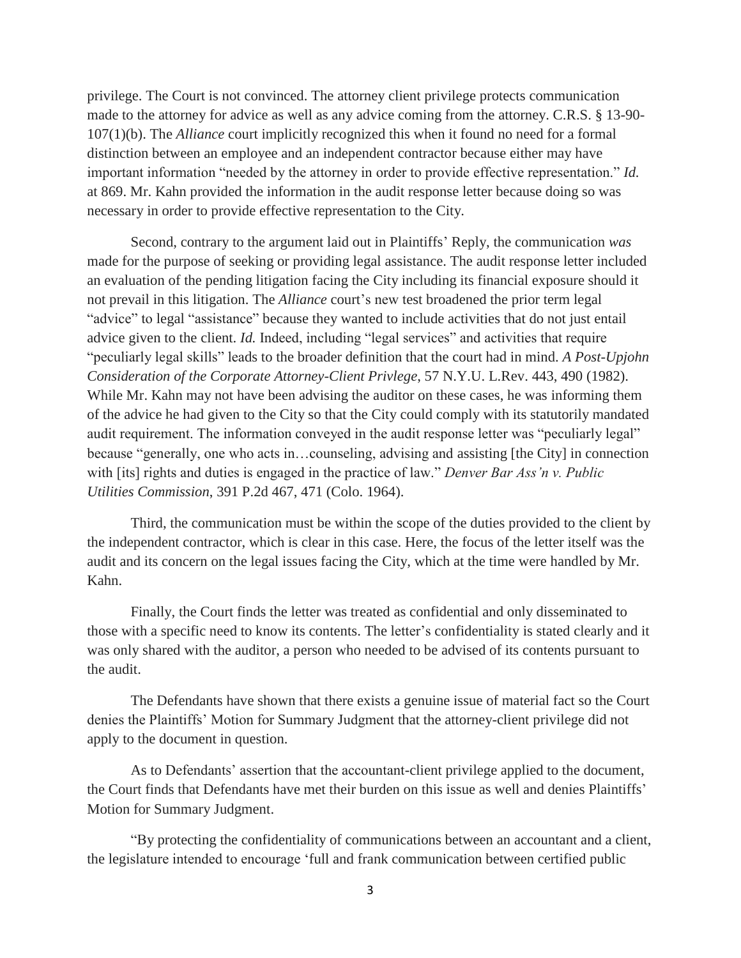privilege. The Court is not convinced. The attorney client privilege protects communication made to the attorney for advice as well as any advice coming from the attorney. C.R.S. § 13-90- 107(1)(b). The *Alliance* court implicitly recognized this when it found no need for a formal distinction between an employee and an independent contractor because either may have important information "needed by the attorney in order to provide effective representation." *Id.*  at 869. Mr. Kahn provided the information in the audit response letter because doing so was necessary in order to provide effective representation to the City.

Second, contrary to the argument laid out in Plaintiffs' Reply, the communication *was* made for the purpose of seeking or providing legal assistance. The audit response letter included an evaluation of the pending litigation facing the City including its financial exposure should it not prevail in this litigation. The *Alliance* court's new test broadened the prior term legal "advice" to legal "assistance" because they wanted to include activities that do not just entail advice given to the client. *Id.* Indeed, including "legal services" and activities that require "peculiarly legal skills" leads to the broader definition that the court had in mind. *A Post-Upjohn Consideration of the Corporate Attorney-Client Privlege*, 57 N.Y.U. L.Rev. 443, 490 (1982). While Mr. Kahn may not have been advising the auditor on these cases, he was informing them of the advice he had given to the City so that the City could comply with its statutorily mandated audit requirement. The information conveyed in the audit response letter was "peculiarly legal" because "generally, one who acts in…counseling, advising and assisting [the City] in connection with [its] rights and duties is engaged in the practice of law." *Denver Bar Ass'n v. Public Utilities Commission*, 391 P.2d 467, 471 (Colo. 1964).

Third, the communication must be within the scope of the duties provided to the client by the independent contractor, which is clear in this case. Here, the focus of the letter itself was the audit and its concern on the legal issues facing the City, which at the time were handled by Mr. Kahn.

Finally, the Court finds the letter was treated as confidential and only disseminated to those with a specific need to know its contents. The letter's confidentiality is stated clearly and it was only shared with the auditor, a person who needed to be advised of its contents pursuant to the audit.

The Defendants have shown that there exists a genuine issue of material fact so the Court denies the Plaintiffs' Motion for Summary Judgment that the attorney-client privilege did not apply to the document in question.

As to Defendants' assertion that the accountant-client privilege applied to the document, the Court finds that Defendants have met their burden on this issue as well and denies Plaintiffs' Motion for Summary Judgment.

"By protecting the confidentiality of communications between an accountant and a client, the legislature intended to encourage 'full and frank communication between certified public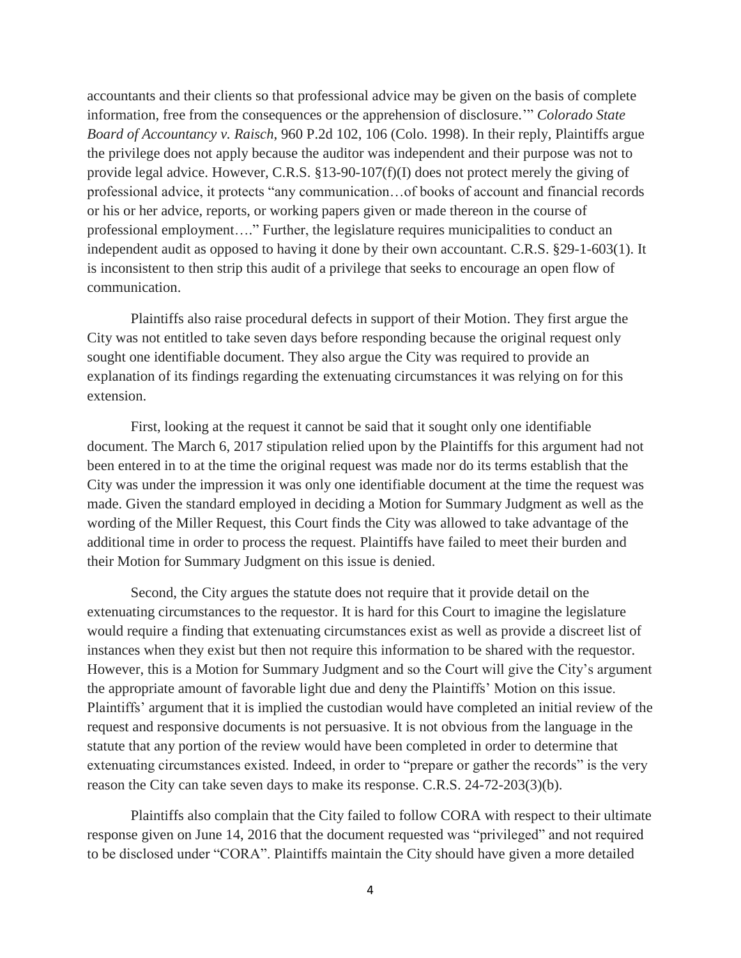accountants and their clients so that professional advice may be given on the basis of complete information, free from the consequences or the apprehension of disclosure.'" *Colorado State Board of Accountancy v. Raisch*, 960 P.2d 102, 106 (Colo. 1998). In their reply, Plaintiffs argue the privilege does not apply because the auditor was independent and their purpose was not to provide legal advice. However, C.R.S. §13-90-107(f)(I) does not protect merely the giving of professional advice, it protects "any communication…of books of account and financial records or his or her advice, reports, or working papers given or made thereon in the course of professional employment…." Further, the legislature requires municipalities to conduct an independent audit as opposed to having it done by their own accountant. C.R.S. §29-1-603(1). It is inconsistent to then strip this audit of a privilege that seeks to encourage an open flow of communication.

Plaintiffs also raise procedural defects in support of their Motion. They first argue the City was not entitled to take seven days before responding because the original request only sought one identifiable document. They also argue the City was required to provide an explanation of its findings regarding the extenuating circumstances it was relying on for this extension.

First, looking at the request it cannot be said that it sought only one identifiable document. The March 6, 2017 stipulation relied upon by the Plaintiffs for this argument had not been entered in to at the time the original request was made nor do its terms establish that the City was under the impression it was only one identifiable document at the time the request was made. Given the standard employed in deciding a Motion for Summary Judgment as well as the wording of the Miller Request, this Court finds the City was allowed to take advantage of the additional time in order to process the request. Plaintiffs have failed to meet their burden and their Motion for Summary Judgment on this issue is denied.

Second, the City argues the statute does not require that it provide detail on the extenuating circumstances to the requestor. It is hard for this Court to imagine the legislature would require a finding that extenuating circumstances exist as well as provide a discreet list of instances when they exist but then not require this information to be shared with the requestor. However, this is a Motion for Summary Judgment and so the Court will give the City's argument the appropriate amount of favorable light due and deny the Plaintiffs' Motion on this issue. Plaintiffs' argument that it is implied the custodian would have completed an initial review of the request and responsive documents is not persuasive. It is not obvious from the language in the statute that any portion of the review would have been completed in order to determine that extenuating circumstances existed. Indeed, in order to "prepare or gather the records" is the very reason the City can take seven days to make its response. C.R.S. 24-72-203(3)(b).

Plaintiffs also complain that the City failed to follow CORA with respect to their ultimate response given on June 14, 2016 that the document requested was "privileged" and not required to be disclosed under "CORA". Plaintiffs maintain the City should have given a more detailed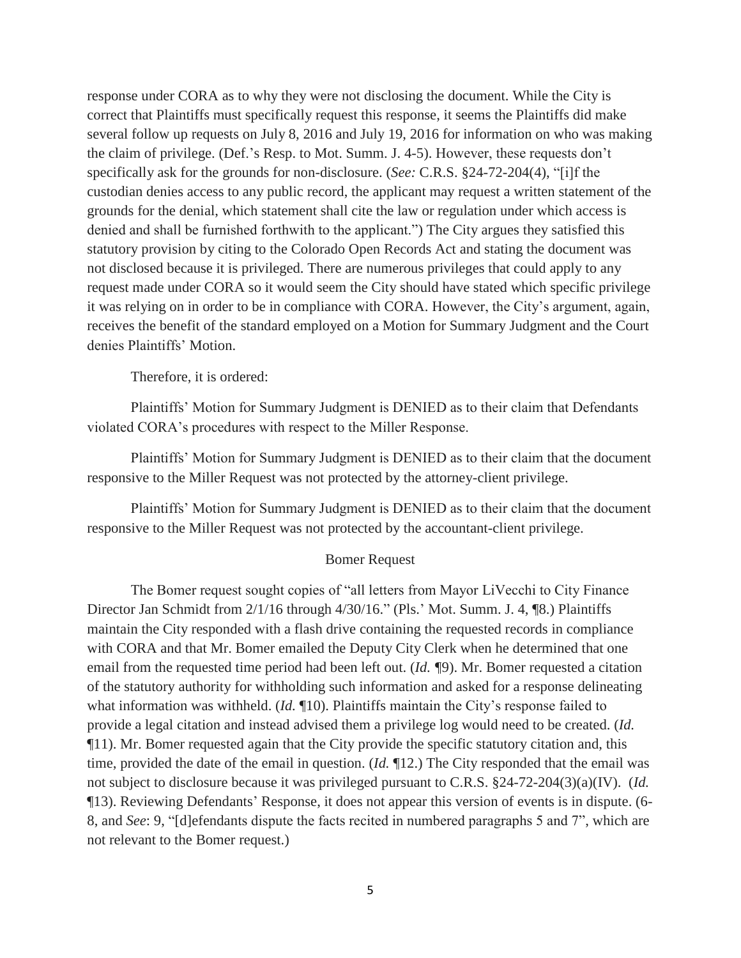response under CORA as to why they were not disclosing the document. While the City is correct that Plaintiffs must specifically request this response, it seems the Plaintiffs did make several follow up requests on July 8, 2016 and July 19, 2016 for information on who was making the claim of privilege. (Def.'s Resp. to Mot. Summ. J. 4-5). However, these requests don't specifically ask for the grounds for non-disclosure. (*See:* C.R.S. §24-72-204(4), "[i]f the custodian denies access to any public record, the applicant may request a written statement of the grounds for the denial, which statement shall cite the law or regulation under which access is denied and shall be furnished forthwith to the applicant.") The City argues they satisfied this statutory provision by citing to the Colorado Open Records Act and stating the document was not disclosed because it is privileged. There are numerous privileges that could apply to any request made under CORA so it would seem the City should have stated which specific privilege it was relying on in order to be in compliance with CORA. However, the City's argument, again, receives the benefit of the standard employed on a Motion for Summary Judgment and the Court denies Plaintiffs' Motion.

Therefore, it is ordered:

Plaintiffs' Motion for Summary Judgment is DENIED as to their claim that Defendants violated CORA's procedures with respect to the Miller Response.

Plaintiffs' Motion for Summary Judgment is DENIED as to their claim that the document responsive to the Miller Request was not protected by the attorney-client privilege.

Plaintiffs' Motion for Summary Judgment is DENIED as to their claim that the document responsive to the Miller Request was not protected by the accountant-client privilege.

## Bomer Request

The Bomer request sought copies of "all letters from Mayor LiVecchi to City Finance Director Jan Schmidt from 2/1/16 through 4/30/16." (Pls.' Mot. Summ. J. 4, ¶8.) Plaintiffs maintain the City responded with a flash drive containing the requested records in compliance with CORA and that Mr. Bomer emailed the Deputy City Clerk when he determined that one email from the requested time period had been left out. (*Id. ¶*9). Mr. Bomer requested a citation of the statutory authority for withholding such information and asked for a response delineating what information was withheld. (*Id.* ¶10). Plaintiffs maintain the City's response failed to provide a legal citation and instead advised them a privilege log would need to be created. (*Id.* ¶11). Mr. Bomer requested again that the City provide the specific statutory citation and, this time, provided the date of the email in question. (*Id.* ¶12.) The City responded that the email was not subject to disclosure because it was privileged pursuant to C.R.S. §24-72-204(3)(a)(IV). (*Id.* ¶13). Reviewing Defendants' Response, it does not appear this version of events is in dispute. (6- 8, and *See*: 9, "[d]efendants dispute the facts recited in numbered paragraphs 5 and 7", which are not relevant to the Bomer request.)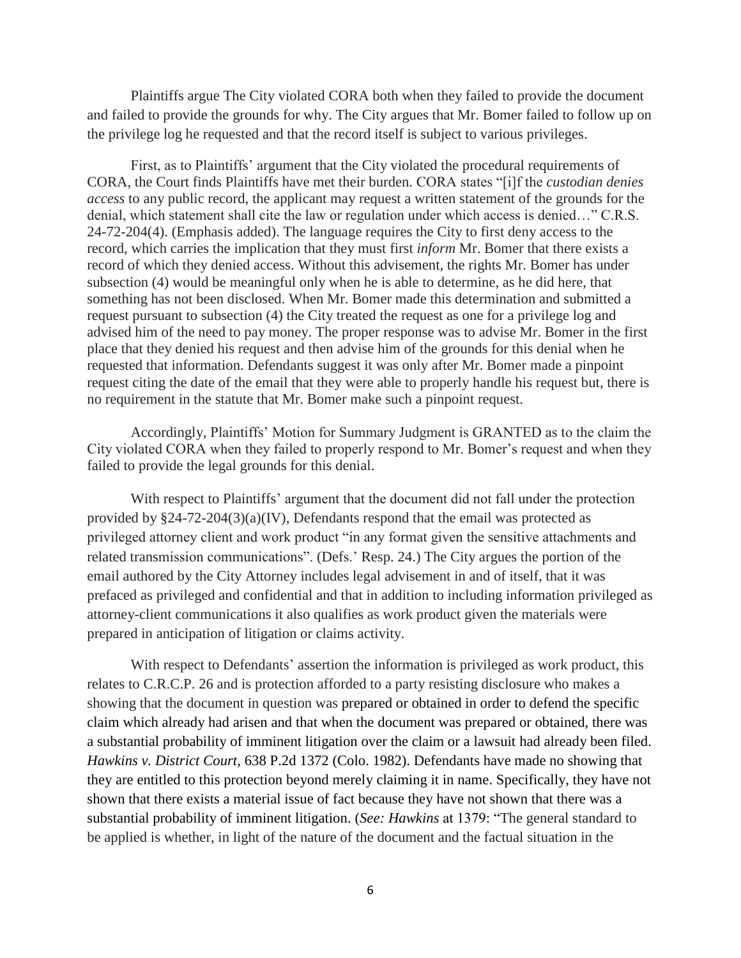Plaintiffs argue The City violated CORA both when they failed to provide the document and failed to provide the grounds for why. The City argues that Mr. Bomer failed to follow up on the privilege log he requested and that the record itself is subject to various privileges.

First, as to Plaintiffs' argument that the City violated the procedural requirements of CORA, the Court finds Plaintiffs have met their burden. CORA states "[i]f the *custodian denies access* to any public record, the applicant may request a written statement of the grounds for the denial, which statement shall cite the law or regulation under which access is denied…" C.R.S. 24-72-204(4). (Emphasis added). The language requires the City to first deny access to the record, which carries the implication that they must first *inform* Mr. Bomer that there exists a record of which they denied access. Without this advisement, the rights Mr. Bomer has under subsection (4) would be meaningful only when he is able to determine, as he did here, that something has not been disclosed. When Mr. Bomer made this determination and submitted a request pursuant to subsection (4) the City treated the request as one for a privilege log and advised him of the need to pay money. The proper response was to advise Mr. Bomer in the first place that they denied his request and then advise him of the grounds for this denial when he requested that information. Defendants suggest it was only after Mr. Bomer made a pinpoint request citing the date of the email that they were able to properly handle his request but, there is no requirement in the statute that Mr. Bomer make such a pinpoint request.

Accordingly, Plaintiffs' Motion for Summary Judgment is GRANTED as to the claim the City violated CORA when they failed to properly respond to Mr. Bomer's request and when they failed to provide the legal grounds for this denial.

With respect to Plaintiffs' argument that the document did not fall under the protection provided by §24-72-204(3)(a)(IV), Defendants respond that the email was protected as privileged attorney client and work product "in any format given the sensitive attachments and related transmission communications". (Defs.' Resp. 24.) The City argues the portion of the email authored by the City Attorney includes legal advisement in and of itself, that it was prefaced as privileged and confidential and that in addition to including information privileged as attorney-client communications it also qualifies as work product given the materials were prepared in anticipation of litigation or claims activity.

With respect to Defendants' assertion the information is privileged as work product, this relates to C.R.C.P. 26 and is protection afforded to a party resisting disclosure who makes a showing that the document in question was prepared or obtained in order to defend the specific claim which already had arisen and that when the document was prepared or obtained, there was a substantial probability of imminent litigation over the claim or a lawsuit had already been filed. *Hawkins v. District Court,* 638 P.2d 1372 (Colo. 1982). Defendants have made no showing that they are entitled to this protection beyond merely claiming it in name. Specifically, they have not shown that there exists a material issue of fact because they have not shown that there was a substantial probability of imminent litigation. (*See: Hawkins* at 1379: "The general standard to be applied is whether, in light of the nature of the document and the factual situation in the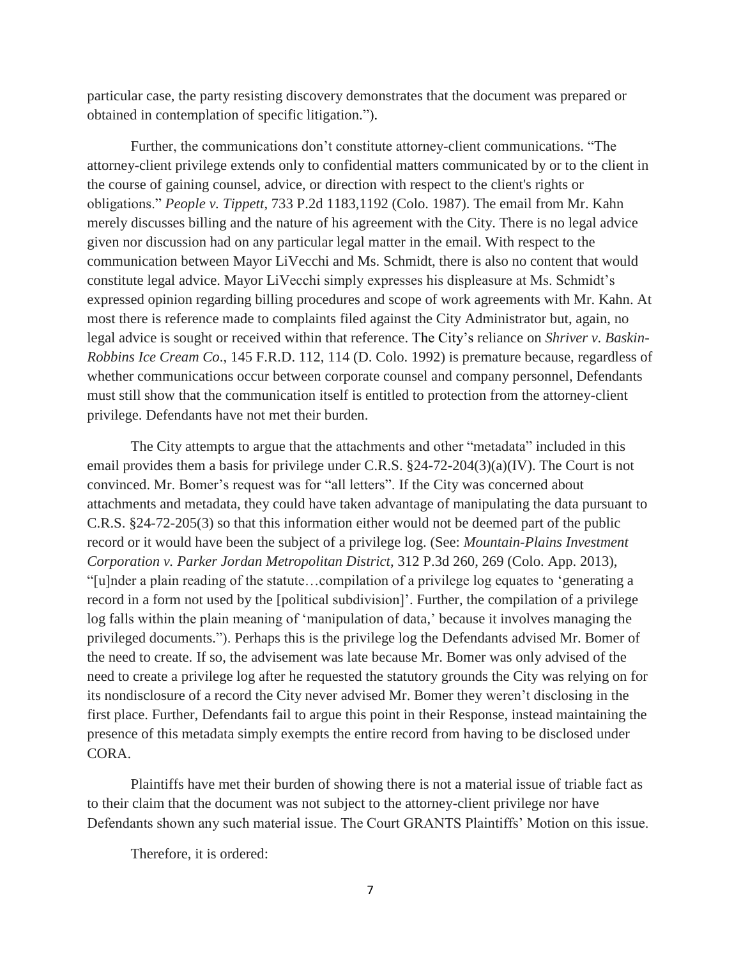particular case, the party resisting discovery demonstrates that the document was prepared or obtained in contemplation of specific litigation.").

Further, the communications don't constitute attorney-client communications. "The attorney-client privilege extends only to confidential matters communicated by or to the client in the course of gaining counsel, advice, or direction with respect to the client's rights or obligations." *People v. Tippett*, 733 P.2d 1183,1192 (Colo. 1987). The email from Mr. Kahn merely discusses billing and the nature of his agreement with the City. There is no legal advice given nor discussion had on any particular legal matter in the email. With respect to the communication between Mayor LiVecchi and Ms. Schmidt, there is also no content that would constitute legal advice. Mayor LiVecchi simply expresses his displeasure at Ms. Schmidt's expressed opinion regarding billing procedures and scope of work agreements with Mr. Kahn. At most there is reference made to complaints filed against the City Administrator but, again, no legal advice is sought or received within that reference. The City's reliance on *Shriver v. Baskin-Robbins Ice Cream Co*., 145 F.R.D. 112, 114 (D. Colo. 1992) is premature because, regardless of whether communications occur between corporate counsel and company personnel, Defendants must still show that the communication itself is entitled to protection from the attorney-client privilege. Defendants have not met their burden.

The City attempts to argue that the attachments and other "metadata" included in this email provides them a basis for privilege under C.R.S. §24-72-204(3)(a)(IV). The Court is not convinced. Mr. Bomer's request was for "all letters". If the City was concerned about attachments and metadata, they could have taken advantage of manipulating the data pursuant to C.R.S. §24-72-205(3) so that this information either would not be deemed part of the public record or it would have been the subject of a privilege log. (See: *Mountain-Plains Investment Corporation v. Parker Jordan Metropolitan District*, 312 P.3d 260, 269 (Colo. App. 2013), "[u]nder a plain reading of the statute…compilation of a privilege log equates to 'generating a record in a form not used by the [political subdivision]'. Further, the compilation of a privilege log falls within the plain meaning of 'manipulation of data,' because it involves managing the privileged documents."). Perhaps this is the privilege log the Defendants advised Mr. Bomer of the need to create. If so, the advisement was late because Mr. Bomer was only advised of the need to create a privilege log after he requested the statutory grounds the City was relying on for its nondisclosure of a record the City never advised Mr. Bomer they weren't disclosing in the first place. Further, Defendants fail to argue this point in their Response, instead maintaining the presence of this metadata simply exempts the entire record from having to be disclosed under CORA.

Plaintiffs have met their burden of showing there is not a material issue of triable fact as to their claim that the document was not subject to the attorney-client privilege nor have Defendants shown any such material issue. The Court GRANTS Plaintiffs' Motion on this issue.

Therefore, it is ordered: